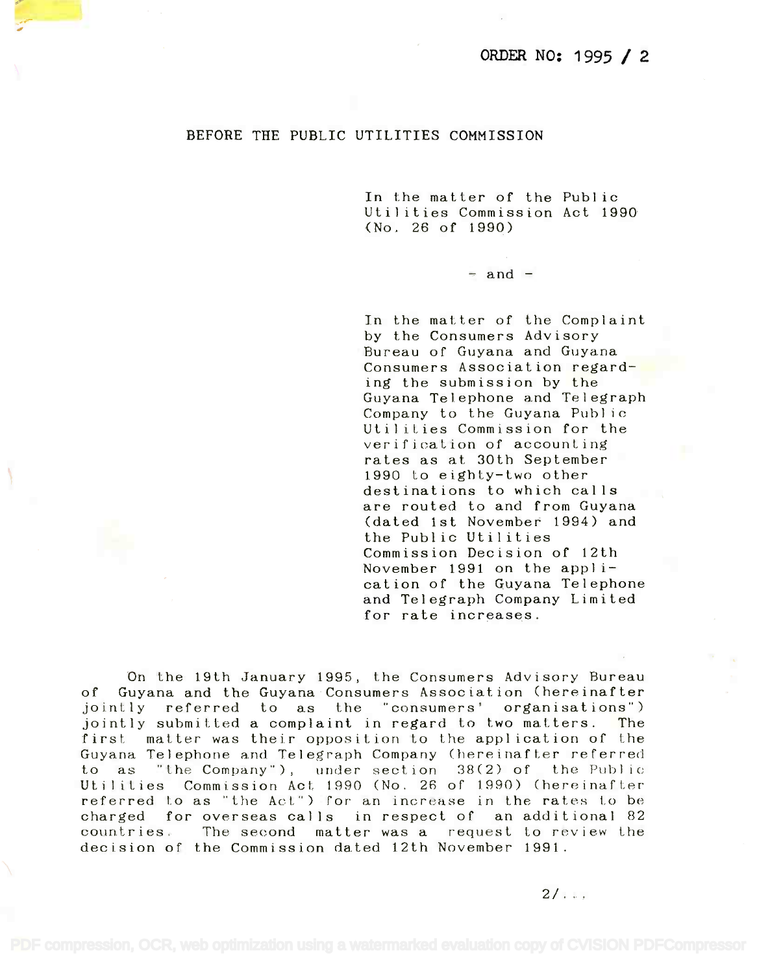## BEFORE THE PUBLIC UTILITIES COMMISSION

In the matter of the Public In the matter of the Public Utilities Commission Act 1990 Utilities Commission Act 1990 (No. 26 of 1990) (No. 26 of 1990)

 $=$  and  $=$ 

In the matter of the Complaint In the matter of the Complaint by the Consumers Advisory by the Consumers Advisory Bureau of Guyana and Guyana Bureau of Guyana and Guyana Consumers Association regard-Consumers Association regarding the submission by the ing the submission by the Guyana Telephone and Telegraph Guyana Telephone and Telegraph Company to the Guyana Public Company to the Guyana Publ ic Utilities Commission for the Utilities Commission for the verification of accounting verification of accounting rates as at 30th September rates as at 30th September 1990 to eighty-two other 1990 to eighty-two other destinations to which calls destinations to which cal Is are routed to and from Guyana are routed to and from Guyana (dated 1st November 1994) and (dated 1st November 1994) and the Public Utilities the Public Utilities Commission Decision of 12th Commission Decision of 12th November 1991 on the appli-November 1991 on the application of the Guyana Telephone cation of the Guyana Telephone and Telegraph Company Limited and Telegraph Company Limited for rate increases. for rate increases.

On the 19th January 1995, the Consumers Advisory Bureau On the 19th January 1995, the Consumers Advisory Bureau of Guyana and the Guyana Consumers Association (hereinafter of Guyana and the Guyana Consumers Association (hereinafter jointly referred to as the "consumers' organisations") jointly referred to as the "consumers' organisations") jointly submitted a complaint in regard to two matters. The jointly submitted a complaint in regard to two matters. The first matter was their opposition to the application of the first matter was their opposition to the application of the Guyana Telephone and Telegraph Company (hereinafter referred Guyana Telephone and Telegraph Company (hereinafter referred to as "the Company"), under section 38(2) of the Public to as "the Company"), under section 38(2) of the Public Utilities Commission Act 1990 (No. 26 of 1990) (hereinafter Uti Iities Commission Act 1890 (No. 26 of 1990) (hereinafter referred to as "the Act") for an increase in the rates to be charged for overseas calls in respect of an additional 82 charged for overseas calls in respect of an additional 82 countries. The second matter was a request to review the countries. The second matter was a request to review the decision of the Commission dated 12th November 1991. decision of the Commission dated 12th November 1991.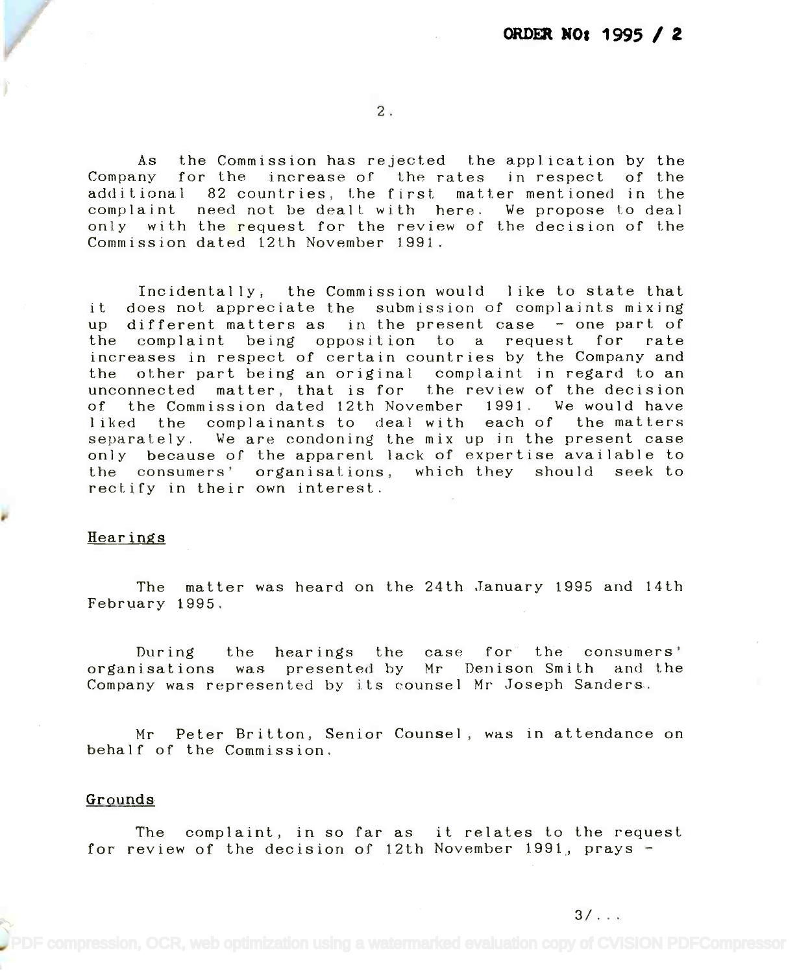2.

As the Commission has rejected the application by the As the Commission has rejected the application by the Company for the increase of the rates in respect of the additional 82 countries, the first matter mentioned in the additional 82 countries, the first matter mentioned in the complaint need not be dealt with here. We propose to deal complaint need not be dealt with here. We propose to deal only with the request for the review of the decision of the Commission dated 12th November 1.991. Commission dated 12th November 1991.

Incidentally, the Commission would like to state that Incidentally, the Commission would like to state that it does not appreciate the submission of complaints mixing it does not appreciate the submission of complaints mixing up different matters as in the present case - one part of the complaint being opposition to a request for rate the complaint being opposition to a request for rate increases in respect of certain countries by the Company and increases in respect of certain countries by the Company and the other part being an original complaint in regard to an the other part being an original complaint in regard to an unconnected matter, that is for the review of the decision unconnected matter, that is for the review of the decision of the Commission dated 12th November 1991. We would have of the Commission dated 12th November 1991. We would have liked the complainants to deal with each of the matters separately. We are condoning the mix up in the present case separately. We are condoning the mix up in the present case only because of the apparent lack of expertise available to the consumers' organisations, which they should seek-to rectify in their own interest. rectify in their own interest.

## Hearings

The matter was heard on the 24th January 1995 and 14th The matter was heard on the 24th January 1995 and 14th February 1995. February 1995.

During the hearings the case for the consumers' organisations was presented by Mr Denison Smith. and the organisations was presented by Mr Denison Smith and the Company was represented by its counsel Mr Joseph Sanders. Company was represented by its counsel Mr Joseph Sanders.

Mr Peter Britton, Senior Counsel, was in attendance on Mr Peter Britton, Senior Counsel, was in attendance on behalf of the Commission. behalf of the Commission.

## Grounds

The complaint, in so far as it relates to the request The complaint, in so far as it relates to the request for review of the decision of 12th November 1991, prays for review of the decision of 12th November 1991, prays -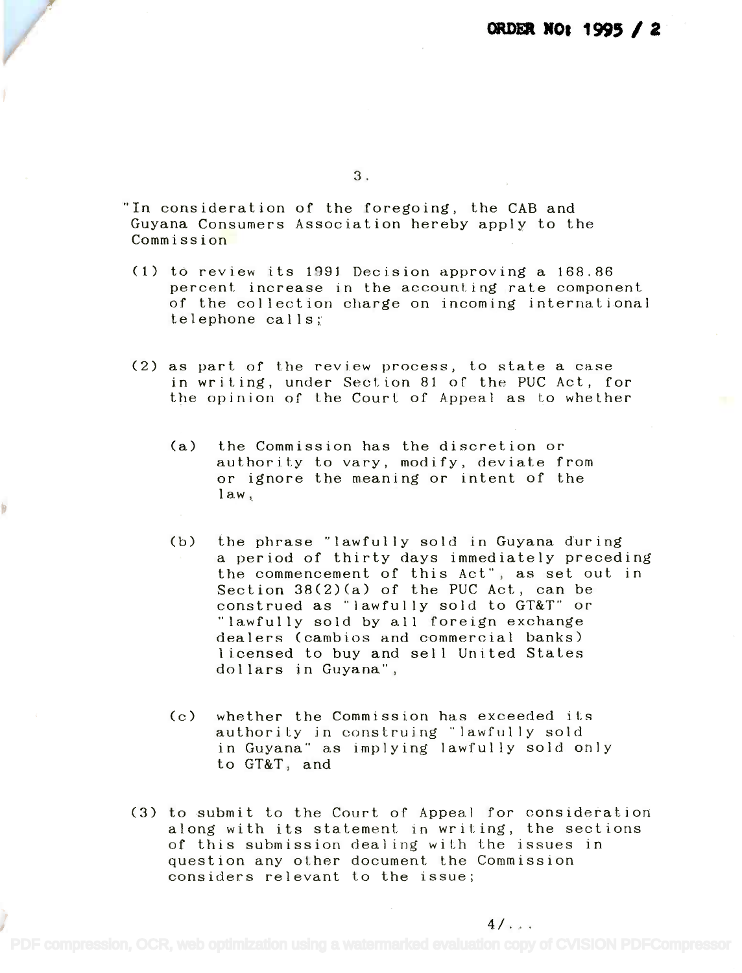3.

"In consideration of the foregoing, the CAB and "In consideration of the foregoing, the CAB and Guyana Consumers Association hereby apply to the Guyana Consumers Association hereby apply to the Commission Commission

- (1) to review its 1991 Decision approving a 168.86 (1) to review its 1991 Decision approving a 168.86 percent increase in the accounting rate component percent increase in the accounting rate component of the collection charge on incoming international of the collection charge on incoming international telephone calls; telephone calls;
- (2) as part of the review process, to state a case (2) as part of the review process, to state a case in writing, under Section 81 of the PUC Act, for the opinion of the Court of Appeal as to whether the opinion of the Court of Appeal as to whether
	- (a) the Commission has the discretion or (a) the Commission has the discretion or authority to vary, modify, deviate from authority to vary, modify, deviate from or ignore the meaning or intent of the or ignore the meaning or intent of the law, law,
	- (b) the phrase "lawfully sold in Guyana during (b) the phrase "lawfully sold in Guyana during a period of thirty days immediately preceding a period of thirty days immediately preceding the commencement of this Act", as set out in the commencement of this Act", as set out in Section 38(2)(a) of the PUC Act, can be Section 38(2)(a) of the PUC Act, can be construed as "lawfully sold to GT&T" or construed as "lawfully sold to GT&T" or "lawfully sold by all foreign exchange "lawfully sold by all foreign exchange dealers (cambios and commercial banks) dealers (cambios and commercial banks) licensed to buy and sell United States licensed to buy and sell United States dollars in Guyana", dollars in Guyana",
	- (c) whether the Commission has exceeded its (c) whether the Commission has exceeded its authority in construing "lawfully sold authority in construing "lawfully sold in Guyana" as implying lawfully sold only in Guyana" as implying lawfully sold only to GT&T, and to GT&T, and
- (3) to submit to the Court of Appeal for consideration (3) to submit to the Court of Appeal for consideration along with its statement in writing, the sections along with its statement in writing, the sections of this submission dealing with the issues in of this submission dealing with the issues in question any other document the Commission question any other document the Commission considers relevant to the issue; considers relevant to the issue;

 $4/$  . . .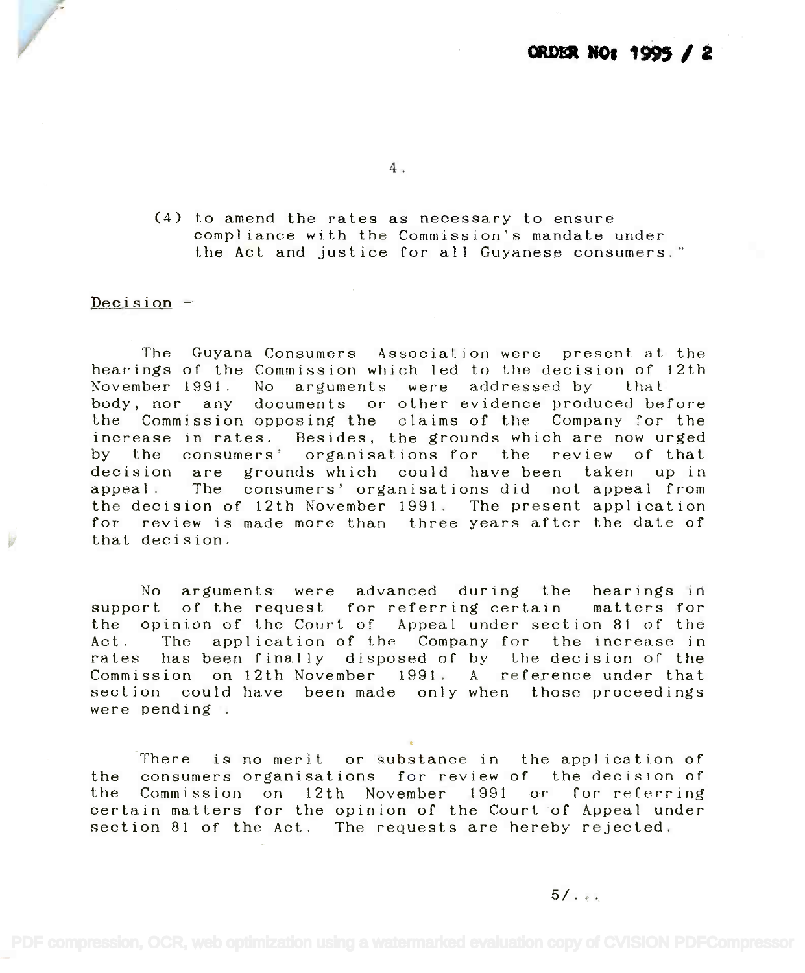4.

(4) to amend the rates as necessary to ensure (4) to amend the rates as necessary to ensure compliance with the Commission's mandate under compliance with the Commission's mandate under the Act and justice for all Guyanese consumers." the Act and just ice for a 11 Guyanese consumers."

Decision -

The Guyana Consumers Association were present at the The Guyana Consumers Association were present at the hearings of the Commission which led to the decision of 12th hearings of the Commission which led to the decision of 12th November 1991. No arguments were addressed by that November 1991. No arguments were addressed by that body, nor any documents or other evidence produced before body, nor any documents or other evidence produced before the Commission opposing the claims of the Company for the the Commission opposing the claims of the Company for the increase in rates. Besides, the grounds which are now urged increase in rates. Besides, the grounds which are now urged by the consumers' organisations for the review of that by the consumers' organisations for the review of that decision are grounds which could have been taken up in decision are grounds which could have been taken up in appeal. The consumers' organisations did not appeal from appeal. The consumers' organisations did not appeal from the decision of 12th November 1991. The present application the decision of 12th November 1991. The present application for review is made more than three years after the date of for review is made more than three years after the date of that decision. that decision.

No arguments were advanced during the hearings in No arguments were advanced during the hearings in support of the request for referring certain matters for support of the request for referring certain mattersfor the opinion of the Court of Appeal under section 81 of the the opinion of the Court of Appeal under section 81 of the Act. The application of the Company for the increase in Act. The application of the Company for the increase in rates has been finally disposed of by the decision of the rates has been finally disposed of by the decision of the Commission on 12th November 1991. A reference under that Commission on 12th November 1991. A reference under that section could have been made only when those proceedings section could have been made only when those proceedings were pending .

There is no merit or substance in the application of There is no merit or substance in the application of the consumers organisations for review of the decision of the consumers organisations for review of the decision of the Commission on 12th November 1991 or for referring the Commission on 12th November 1991 or for referring certain matters for the opinion of the Court.of Appeal under certain matters for the opinion of the Court of Appeal under section 81 of the Act. The requests are hereby rejected. section 81 of the Act. The requests are hereby rejected.